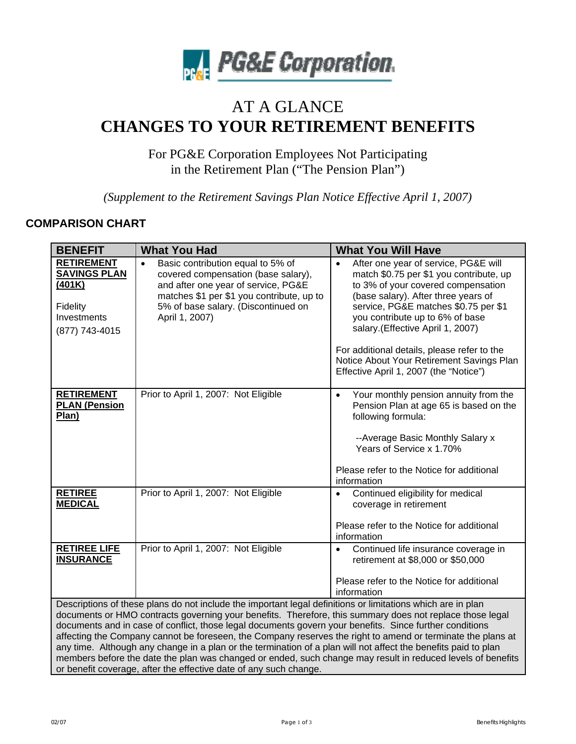

# AT A GLANCE **CHANGES TO YOUR RETIREMENT BENEFITS**

For PG&E Corporation Employees Not Participating in the Retirement Plan ("The Pension Plan")

*(Supplement to the Retirement Savings Plan Notice Effective April 1, 2007)* 

# **COMPARISON CHART**

| <b>BENEFIT</b>                                                                                                                                                                                                                                                                                                                                                                                                                                                                                                                                                                                                                                                                                                                                          | <b>What You Had</b>                                                                                                                                                                                                                | <b>What You Will Have</b>                                                                                                                                                                                                                                                                                                                                                                                         |
|---------------------------------------------------------------------------------------------------------------------------------------------------------------------------------------------------------------------------------------------------------------------------------------------------------------------------------------------------------------------------------------------------------------------------------------------------------------------------------------------------------------------------------------------------------------------------------------------------------------------------------------------------------------------------------------------------------------------------------------------------------|------------------------------------------------------------------------------------------------------------------------------------------------------------------------------------------------------------------------------------|-------------------------------------------------------------------------------------------------------------------------------------------------------------------------------------------------------------------------------------------------------------------------------------------------------------------------------------------------------------------------------------------------------------------|
| <b>RETIREMENT</b><br><b>SAVINGS PLAN</b><br>(401K)<br>Fidelity<br>Investments<br>(877) 743-4015                                                                                                                                                                                                                                                                                                                                                                                                                                                                                                                                                                                                                                                         | Basic contribution equal to 5% of<br>$\bullet$<br>covered compensation (base salary),<br>and after one year of service, PG&E<br>matches \$1 per \$1 you contribute, up to<br>5% of base salary. (Discontinued on<br>April 1, 2007) | After one year of service, PG&E will<br>match \$0.75 per \$1 you contribute, up<br>to 3% of your covered compensation<br>(base salary). After three years of<br>service, PG&E matches \$0.75 per \$1<br>you contribute up to 6% of base<br>salary.(Effective April 1, 2007)<br>For additional details, please refer to the<br>Notice About Your Retirement Savings Plan<br>Effective April 1, 2007 (the "Notice") |
| <b>RETIREMENT</b><br><b>PLAN (Pension</b><br>Plan)                                                                                                                                                                                                                                                                                                                                                                                                                                                                                                                                                                                                                                                                                                      | Prior to April 1, 2007: Not Eligible                                                                                                                                                                                               | Your monthly pension annuity from the<br>$\bullet$<br>Pension Plan at age 65 is based on the<br>following formula:<br>--Average Basic Monthly Salary x<br>Years of Service x 1.70%                                                                                                                                                                                                                                |
|                                                                                                                                                                                                                                                                                                                                                                                                                                                                                                                                                                                                                                                                                                                                                         |                                                                                                                                                                                                                                    | Please refer to the Notice for additional<br>information                                                                                                                                                                                                                                                                                                                                                          |
| <b>RETIREE</b><br><b>MEDICAL</b>                                                                                                                                                                                                                                                                                                                                                                                                                                                                                                                                                                                                                                                                                                                        | Prior to April 1, 2007: Not Eligible                                                                                                                                                                                               | Continued eligibility for medical<br>$\bullet$<br>coverage in retirement<br>Please refer to the Notice for additional<br>information                                                                                                                                                                                                                                                                              |
| <b>RETIREE LIFE</b><br><b>INSURANCE</b>                                                                                                                                                                                                                                                                                                                                                                                                                                                                                                                                                                                                                                                                                                                 | Prior to April 1, 2007: Not Eligible                                                                                                                                                                                               | Continued life insurance coverage in<br>$\bullet$<br>retirement at \$8,000 or \$50,000<br>Please refer to the Notice for additional<br>information                                                                                                                                                                                                                                                                |
| Descriptions of these plans do not include the important legal definitions or limitations which are in plan<br>documents or HMO contracts governing your benefits. Therefore, this summary does not replace those legal<br>documents and in case of conflict, those legal documents govern your benefits. Since further conditions<br>affecting the Company cannot be foreseen, the Company reserves the right to amend or terminate the plans at<br>any time. Although any change in a plan or the termination of a plan will not affect the benefits paid to plan<br>members before the date the plan was changed or ended, such change may result in reduced levels of benefits<br>or benefit coverage, after the effective date of any such change. |                                                                                                                                                                                                                                    |                                                                                                                                                                                                                                                                                                                                                                                                                   |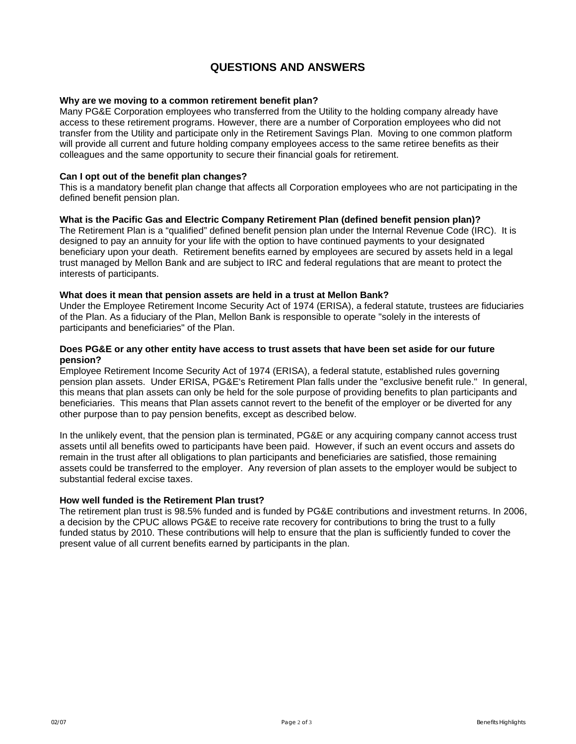# **QUESTIONS AND ANSWERS**

### **Why are we moving to a common retirement benefit plan?**

Many PG&E Corporation employees who transferred from the Utility to the holding company already have access to these retirement programs. However, there are a number of Corporation employees who did not transfer from the Utility and participate only in the Retirement Savings Plan. Moving to one common platform will provide all current and future holding company employees access to the same retiree benefits as their colleagues and the same opportunity to secure their financial goals for retirement.

#### **Can I opt out of the benefit plan changes?**

This is a mandatory benefit plan change that affects all Corporation employees who are not participating in the defined benefit pension plan.

#### **What is the Pacific Gas and Electric Company Retirement Plan (defined benefit pension plan)?**

The Retirement Plan is a "qualified" defined benefit pension plan under the Internal Revenue Code (IRC). It is designed to pay an annuity for your life with the option to have continued payments to your designated beneficiary upon your death. Retirement benefits earned by employees are secured by assets held in a legal trust managed by Mellon Bank and are subject to IRC and federal regulations that are meant to protect the interests of participants.

#### **What does it mean that pension assets are held in a trust at Mellon Bank?**

Under the Employee Retirement Income Security Act of 1974 (ERISA), a federal statute, trustees are fiduciaries of the Plan. As a fiduciary of the Plan, Mellon Bank is responsible to operate "solely in the interests of participants and beneficiaries" of the Plan.

## **Does PG&E or any other entity have access to trust assets that have been set aside for our future pension?**

Employee Retirement Income Security Act of 1974 (ERISA), a federal statute, established rules governing pension plan assets. Under ERISA, PG&E's Retirement Plan falls under the "exclusive benefit rule." In general, this means that plan assets can only be held for the sole purpose of providing benefits to plan participants and beneficiaries. This means that Plan assets cannot revert to the benefit of the employer or be diverted for any other purpose than to pay pension benefits, except as described below.

In the unlikely event, that the pension plan is terminated, PG&E or any acquiring company cannot access trust assets until all benefits owed to participants have been paid. However, if such an event occurs and assets do remain in the trust after all obligations to plan participants and beneficiaries are satisfied, those remaining assets could be transferred to the employer. Any reversion of plan assets to the employer would be subject to substantial federal excise taxes.

#### **How well funded is the Retirement Plan trust?**

The retirement plan trust is 98.5% funded and is funded by PG&E contributions and investment returns. In 2006, a decision by the CPUC allows PG&E to receive rate recovery for contributions to bring the trust to a fully funded status by 2010. These contributions will help to ensure that the plan is sufficiently funded to cover the present value of all current benefits earned by participants in the plan.